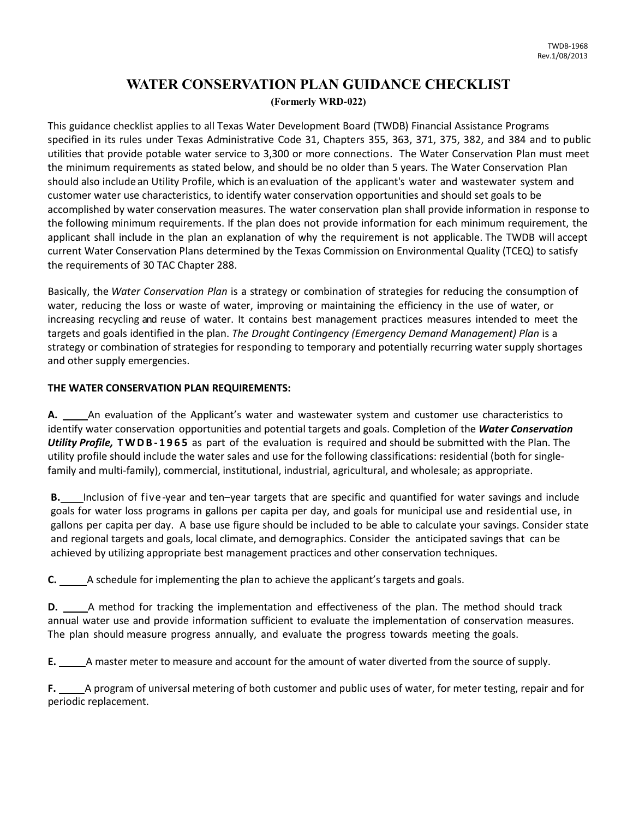## **WATER CONSERVATION PLAN GUIDANCE CHECKLIST (Formerly WRD-022)**

This guidance checklist applies to all Texas Water Development Board (TWDB) Financial Assistance Programs specified in its rules under Texas Administrative Code 31, Chapters 355, 363, 371, 375, 382, and 384 and to public utilities that provide potable water service to 3,300 or more connections. The Water Conservation Plan must meet the minimum requirements as stated below, and should be no older than 5 years. The Water Conservation Plan should also include an Utility Profile, which is anevaluation of the applicant's water and wastewater system and customer water use characteristics, to identify water conservation opportunities and should set goals to be accomplished by water conservation measures. The water conservation plan shall provide information in response to the following minimum requirements. If the plan does not provide information for each minimum requirement, the applicant shall include in the plan an explanation of why the requirement is not applicable. The TWDB will accept current Water Conservation Plans determined by the Texas Commission on Environmental Quality (TCEQ) to satisfy the requirements of 30 TAC Chapter 288.

Basically, the *Water Conservation Plan* is a strategy or combination of strategies for reducing the consumption of water, reducing the loss or waste of water, improving or maintaining the efficiency in the use of water, or increasing recycling and reuse of water. It contains best management practices measures intended to meet the targets and goals identified in the plan. *The Drought Contingency (Emergency Demand Management) Plan* is a strategy or combination of strategies for responding to temporary and potentially recurring water supply shortages and other supply emergencies.

## **THE WATER CONSERVATION PLAN REQUIREMENTS:**

**A.** An evaluation of the Applicant's water and wastewater system and customer use characteristics to identify water conservation opportunities and potential targets and goals. Completion of the *Water Conservation Utility Profile,* **TWDB - 1965** as part of the evaluation is required and should be submitted with the Plan. The utility profile should include the water sales and use for the following classifications: residential (both for singlefamily and multi-family), commercial, institutional, industrial, agricultural, and wholesale; as appropriate.

**B.** Inclusion of five-year and ten–year targets that are specific and quantified for water savings and include goals for water loss programs in gallons per capita per day, and goals for municipal use and residential use, in gallons per capita per day. A base use figure should be included to be able to calculate your savings. Consider state and regional targets and goals, local climate, and demographics. Consider the anticipated savings that can be achieved by utilizing appropriate best management practices and other conservation techniques.

**C.** A schedule for implementing the plan to achieve the applicant's targets and goals.

**D.** A method for tracking the implementation and effectiveness of the plan. The method should track annual water use and provide information sufficient to evaluate the implementation of conservation measures. The plan should measure progress annually, and evaluate the progress towards meeting the goals.

**E.** A master meter to measure and account for the amount of water diverted from the source of supply.

**F.** A program of universal metering of both customer and public uses of water, for meter testing, repair and for periodic replacement.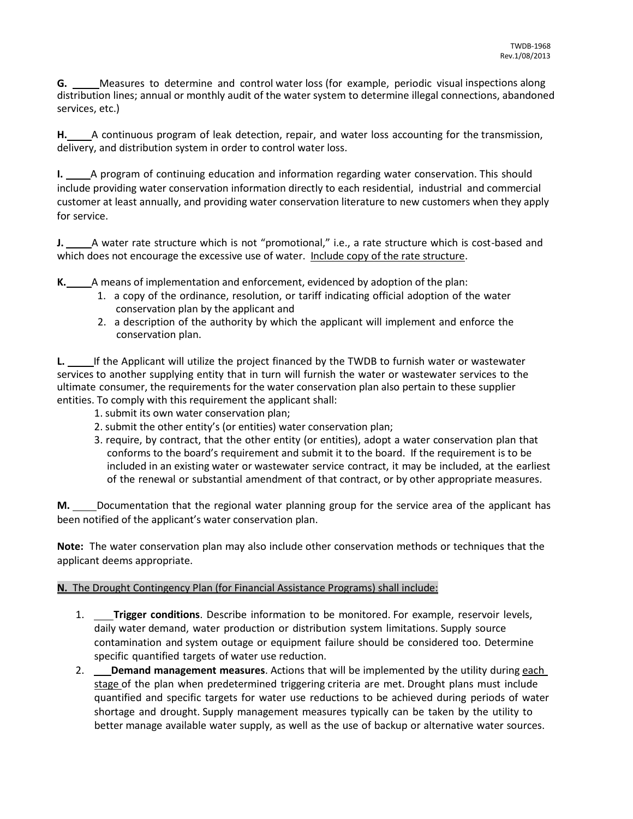**G.** Measures to determine and control water loss (for example, periodic visual inspections along distribution lines; annual or monthly audit of the water system to determine illegal connections, abandoned services, etc.)

H. A continuous program of leak detection, repair, and water loss accounting for the transmission, delivery, and distribution system in order to control water loss.

**I.** A program of continuing education and information regarding water conservation. This should include providing water conservation information directly to each residential, industrial and commercial customer at least annually, and providing water conservation literature to new customers when they apply for service.

**J.** A water rate structure which is not "promotional," i.e., a rate structure which is cost-based and which does not encourage the excessive use of water. Include copy of the rate structure.

**K.** A means of implementation and enforcement, evidenced by adoption of the plan:

- 1. a copy of the ordinance, resolution, or tariff indicating official adoption of the water conservation plan by the applicant and
- 2. a description of the authority by which the applicant will implement and enforce the conservation plan.

**L.** If the Applicant will utilize the project financed by the TWDB to furnish water or wastewater services to another supplying entity that in turn will furnish the water or wastewater services to the ultimate consumer, the requirements for the water conservation plan also pertain to these supplier entities. To comply with this requirement the applicant shall:

- 1. submit its own water conservation plan;
- 2. submit the other entity's (or entities) water conservation plan;
- 3. require, by contract, that the other entity (or entities), adopt a water conservation plan that conforms to the board's requirement and submit it to the board. If the requirement is to be included in an existing water or wastewater service contract, it may be included, at the earliest of the renewal or substantial amendment of that contract, or by other appropriate measures.

**M.** Documentation that the regional water planning group for the service area of the applicant has been notified of the applicant's water conservation plan.

**Note:** The water conservation plan may also include other conservation methods or techniques that the applicant deems appropriate.

## **N.** The Drought Contingency Plan (for Financial Assistance Programs) shall include:

- 1. **Trigger conditions**. Describe information to be monitored. For example, reservoir levels, daily water demand, water production or distribution system limitations. Supply source contamination and system outage or equipment failure should be considered too. Determine specific quantified targets of water use reduction.
- 2. **Demand management measures**. Actions that will be implemented by the utility during each stage of the plan when predetermined triggering criteria are met. Drought plans must include quantified and specific targets for water use reductions to be achieved during periods of water shortage and drought. Supply management measures typically can be taken by the utility to better manage available water supply, as well as the use of backup or alternative water sources.